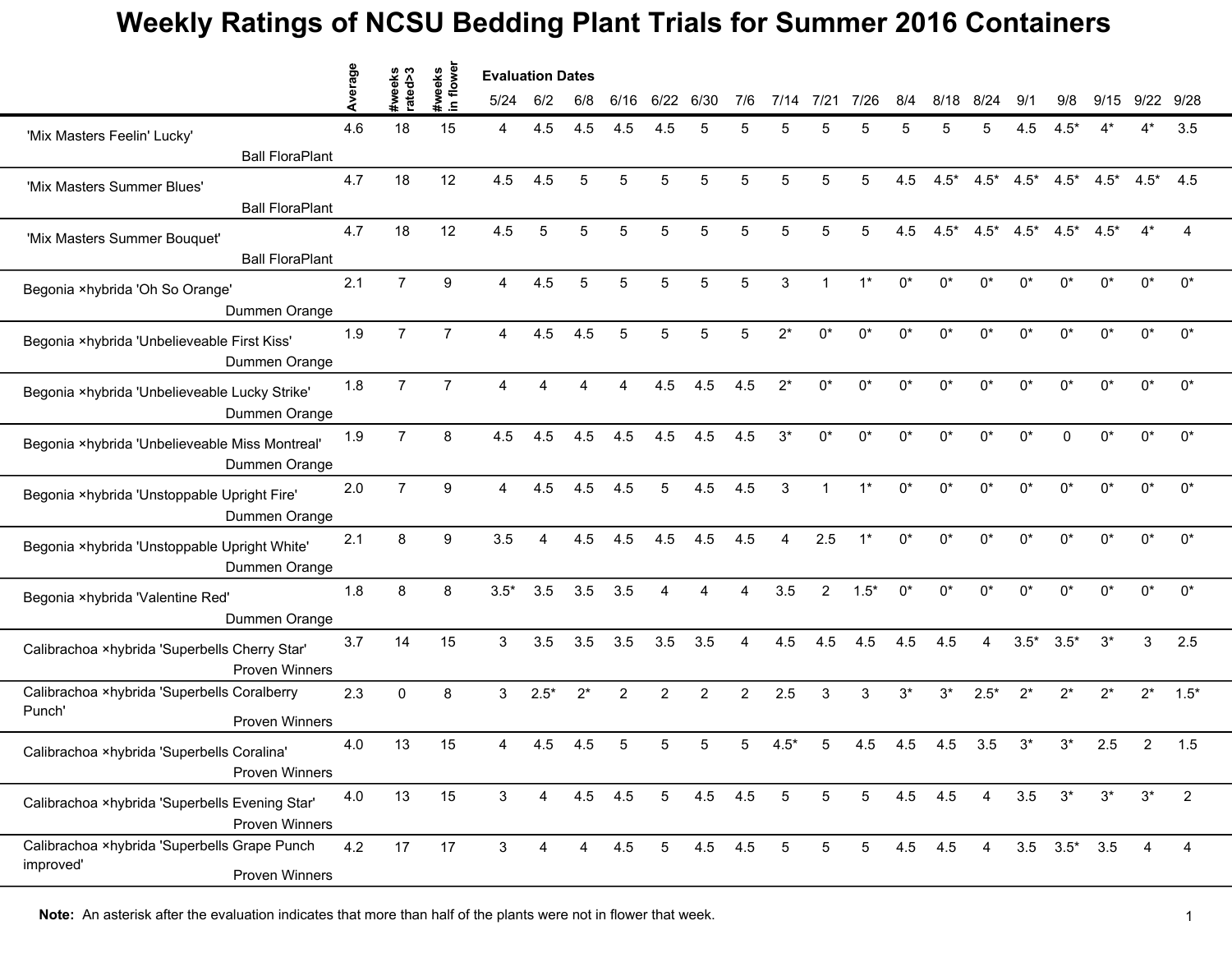## **Weekly Ratings of NCSU Bedding Plant Trials for Summer 2016 Containers**

|                                                                                | erage | #weeks<br>rated>3 | flowe<br>#weeks | <b>Evaluation Dates</b> |                |         |                |                 |         |     |                 |                 |                 |       |         |            |        |                     |        |        |                |
|--------------------------------------------------------------------------------|-------|-------------------|-----------------|-------------------------|----------------|---------|----------------|-----------------|---------|-----|-----------------|-----------------|-----------------|-------|---------|------------|--------|---------------------|--------|--------|----------------|
|                                                                                |       |                   | $\equiv$        | 5/24                    | 6/2            | 6/8     | 6/16           | 6/22            | 6/30    | 7/6 | 7/14            | 7/21            | 7/26            | 8/4   | 8/18    | 8/24       | ۹/۰    | 9/8                 | 9/15   | 9/22   | 9/28           |
| 'Mix Masters Feelin' Lucky'                                                    | 4.6   | 18                | 15              | 4                       | 4.5            | 4.5     | 4.5            | 4.5             | 5       | 5   | 5               | 5               |                 |       |         |            | 4.5    | .5*                 |        |        | 3.5            |
| <b>Ball FloraPlant</b>                                                         |       |                   |                 |                         |                |         |                |                 |         |     |                 |                 |                 |       |         |            |        |                     |        |        |                |
| 'Mix Masters Summer Blues'<br><b>Ball FloraPlant</b>                           | 4.7   | 18                | 12              | 4.5                     | 4.5            | 5       | 5              | 5               | 5       | 5   | 5               | 5               | 5               | 4.5   | $4.5*$  | $4.5*$     | $4.5*$ | $4.5*$              | $4.5*$ | $4.5*$ | 4.5            |
| 'Mix Masters Summer Bouquet'<br><b>Ball FloraPlant</b>                         | 4.7   | 18                | 12              | 4.5                     | 5              | 5       | 5              | 5               | 5       | 5   | 5               | 5               | 5               | 4.5   | $4.5*$  | $4.5*$     | $4.5*$ | $4.5*$              | $4.5*$ |        |                |
| Begonia ×hybrida 'Oh So Orange'<br>Dummen Orange                               | 2.1   | $\overline{7}$    | 9               | $\overline{A}$          | 4.5            | 5       | 5              | 5               | 5       | 5   | 3               |                 |                 | $0^*$ | $0^*$   | $0^*$      | $0^*$  | 0*                  | 0*     | $0^*$  | $0^*$          |
| Begonia ×hybrida 'Unbelieveable First Kiss'<br>Dummen Orange                   | 1.9   | $\overline{7}$    | 7               | 4                       | 4.5            | 4.5     | 5              | 5               | 5       | 5   |                 | n*              | n*              | $0^*$ | በ*      | $^{\circ}$ | n*     | n*                  | $0^*$  | n*     | $0^*$          |
| Begonia ×hybrida 'Unbelieveable Lucky Strike'<br>Dummen Orange                 | 1.8   | $\overline{7}$    | $\overline{7}$  | $\overline{4}$          | $\overline{A}$ | Δ       | 4              | 4.5             | 4.5     | 4.5 | $2^*$           | $0^*$           | $0^*$           | $0^*$ | $0^*$   | $0^*$      | $0^*$  | $0^*$               | $0^*$  | 0*     | $0^*$          |
| Begonia ×hybrida 'Unbelieveable Miss Montreal'<br>Dummen Orange                | 1.9   | $\overline{7}$    | 8               | 4.5                     | 4.5            | 4.5     | 4.5            | 4.5             | 4.5     | 4.5 | $3^*$           | $0^*$           | $0^*$           | $0^*$ | $0^*$   | 0*         | 0*     | U                   | 0*     | $0^*$  | $0^*$          |
| Begonia ×hybrida 'Unstoppable Upright Fire'<br>Dummen Orange                   | 2.0   | $\overline{7}$    | 9               | $\overline{4}$          | 4.5            | 4.5     | 4.5            | 5               | 4.5     | 4.5 | 3               |                 | $1*$            | $0^*$ | $0^*$   | $0^*$      | $0^*$  | $0^*$               | 0*     | 0*     | $0^*$          |
| Begonia ×hybrida 'Unstoppable Upright White'<br>Dummen Orange                  | 2.1   | 8                 | 9               | 3.5                     |                | 4.5     | 4.5            | 4.5             | 4.5     | 4.5 |                 | 2.5             |                 | $0^*$ | በ*      | $^{\circ}$ | n*     | n*                  | በ*     | n*     | $0^*$          |
| Begonia ×hybrida 'Valentine Red'<br>Dummen Orange                              | 1.8   | 8                 | 8               | $3.5*$                  | 3.5            | 3.5     | 3.5            | 4               |         | Δ   | 3.5             | $\overline{2}$  | $1.5*$          | $0^*$ | $0^*$   | $0^*$      | $0^*$  | $0^*$               | 0*     | $0^*$  | $0^*$          |
| Calibrachoa ×hybrida 'Superbells Cherry Star'<br><b>Proven Winners</b>         | 3.7   | 14                | 15              | 3                       | 3.5            | 3.5     | 3.5            | 3.5             | 3.5     | Δ   | 4.5             | 4.5             | 4.5             | 4.5   | 4.5     |            | $3.5*$ | $3.5*$              | $3^*$  | 3      | 2.5            |
| Calibrachoa ×hybrida 'Superbells Coralberry<br>Punch'<br><b>Proven Winners</b> | 2.3   | $\mathbf 0$       | 8               | 3                       | $2.5*$         | $2^*$   | $\overline{c}$ | $\overline{2}$  | 2       | 2   | 2.5             | 3               | 3               | $3^*$ | $3^*$   | $2.5*$     | $2^*$  | $2^*$               | $2^*$  | $2^*$  | $1.5*$         |
| Calibrachoa ×hybrida 'Superbells Coralina'<br>Proven Winners                   | 4.0   | 13                | 15              |                         | 4.5            | 4.5     | 5              | 5               |         |     |                 |                 | 4.5             | 4.5   | 4.5     | 3.5        | 3*     | 3*                  | 2.5    | 2      | 1.5            |
| Calibrachoa ×hybrida 'Superbells Evening Star'<br><b>Proven Winners</b>        | 4.0   | 13                | 15              | $\mathbf{3}$            | $\overline{4}$ | 4.5 4.5 |                | $5\overline{)}$ | 4.5 4.5 |     | $5\phantom{.0}$ | $5\phantom{.0}$ | $5\phantom{.0}$ | 4.5   | 4.5     | 4          | 3.5    | $3^*$               | $3^*$  | $3^*$  | 2              |
| Calibrachoa ×hybrida 'Superbells Grape Punch<br>improved'<br>Proven Winners    | 4.2   | 17                | 17              | $\mathbf{3}$            | $\overline{4}$ | 4       | 4.5            | $5\overline{)}$ | 4.5 4.5 |     | $\overline{5}$  | 5               | 5 <sup>5</sup>  |       | 4.5 4.5 | 4          |        | $3.5$ $3.5^*$ $3.5$ |        | 4      | $\overline{4}$ |

**Note:** An asterisk after the evaluation indicates that more than half of the plants were not in flower that week.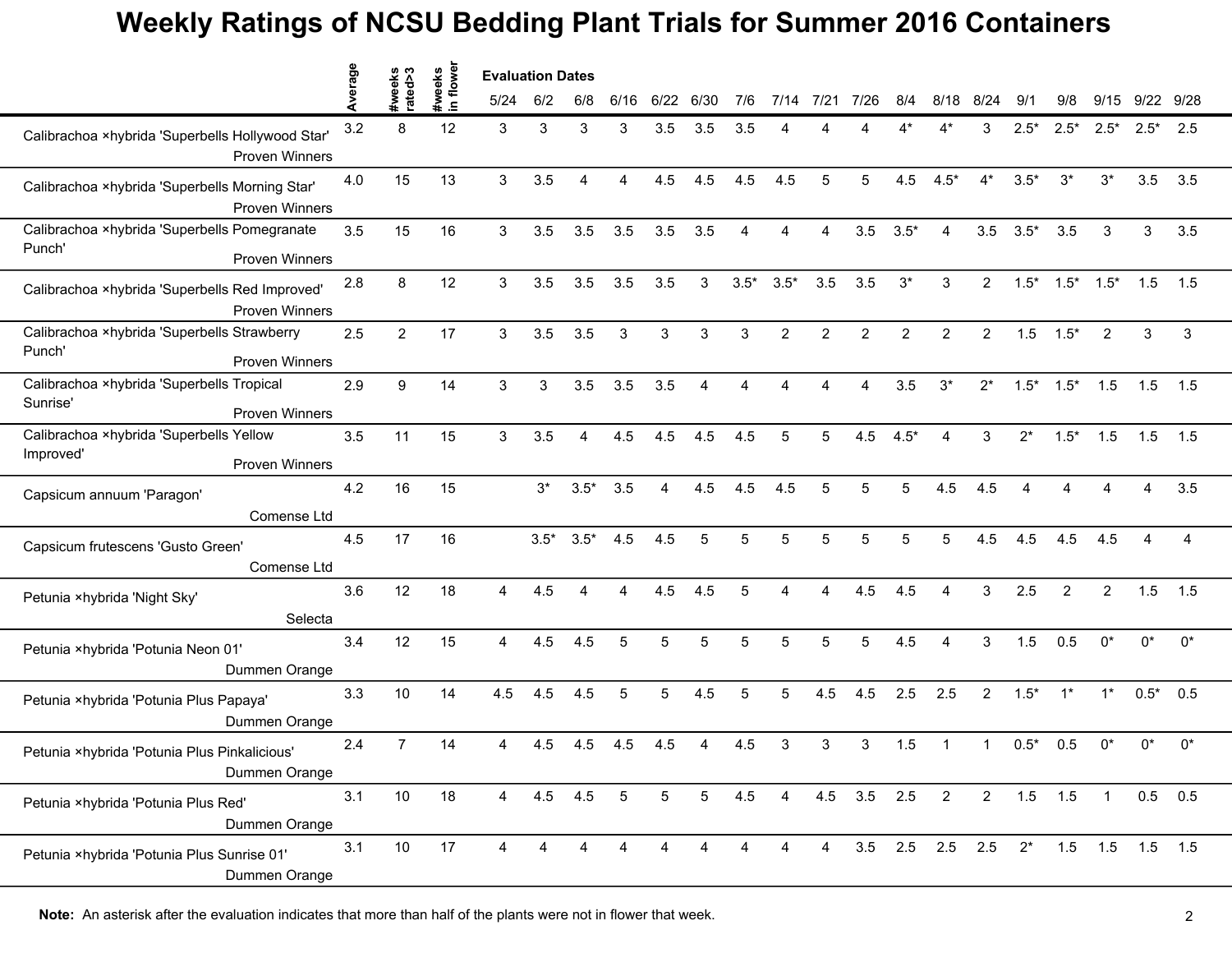## **Weekly Ratings of NCSU Bedding Plant Trials for Summer 2016 Containers**

|                                                        |                                         | age | ∾<br>eks<br>ab | flower             | <b>Evaluation Dates</b> |        |                        |                 |                 |                |        |               |                |                |                |                       |                |             |                |                 |        |                |
|--------------------------------------------------------|-----------------------------------------|-----|----------------|--------------------|-------------------------|--------|------------------------|-----------------|-----------------|----------------|--------|---------------|----------------|----------------|----------------|-----------------------|----------------|-------------|----------------|-----------------|--------|----------------|
|                                                        |                                         |     | rate<br>21.    | #weeks<br>$\equiv$ | 5/24                    | 6/2    | 6/8                    | 6/16            | 6/22            | 6/30           | 7/6    | 7/14          | 7/21           | 7/26           | 8/4            | 8/18                  | 8/24           | 9/1         | 9/8            | 9/15            | 9/22   | 9/28           |
| Calibrachoa ×hybrida 'Superbells Hollywood Star'       | <b>Proven Winners</b>                   | 3.2 | 8              | 12                 | 3                       | 3      | 3                      | 3               | 3.5             | 3.5            | 3.5    |               |                |                |                |                       | 3              | $2.5*$      | $2.5*$         | $2.5*$          | $2.5*$ | 2.5            |
| Calibrachoa ×hybrida 'Superbells Morning Star'         | <b>Proven Winners</b>                   | 4.0 | 15             | 13                 | 3                       | 3.5    | 4                      | 4               | 4.5             | 4.5            | 4.5    | 4.5           | 5              | 5              | 4.5            | $4.5*$                | $4^*$          | $3.5*$      | $3^*$          | $3^*$           | 3.5    | 3.5            |
| Calibrachoa ×hybrida 'Superbells Pomegranate<br>Punch' |                                         | 3.5 | 15             | 16                 | 3                       | 3.5    | 3.5                    | 3.5             | 3.5             | 3.5            | 4      | 4             | 4              | 3.5            | $3.5*$         | 4                     | 3.5            | $3.5*$      | 3.5            | 3               | 3      | 3.5            |
| Calibrachoa ×hybrida 'Superbells Red Improved'         | Proven Winners<br><b>Proven Winners</b> | 2.8 | 8              | 12                 | 3                       | 3.5    | 3.5                    | 3.5             | 3.5             | 3              | $3.5*$ | $3.5*$        | 3.5            | 3.5            | $3^*$          | 3                     | $\overline{2}$ | $1.5*$      | $1.5*$         | $1.5*$          | 1.5    | 1.5            |
| Calibrachoa ×hybrida 'Superbells Strawberry<br>Punch'  | <b>Proven Winners</b>                   | 2.5 | $\overline{2}$ | 17                 | 3                       | 3.5    | 3.5                    | 3               | 3               | 3              | 3      | $\mathcal{P}$ | $\overline{2}$ | $\overline{2}$ | $\overline{2}$ | $\mathcal{P}$         | $\overline{2}$ | 1.5         | $1.5*$         | 2               | 3      | 3              |
| Calibrachoa ×hybrida 'Superbells Tropical<br>Sunrise'  | <b>Proven Winners</b>                   | 2.9 | 9              | 14                 | 3                       | 3      | 3.5                    | 3.5             | 3.5             | 4              | Δ      | Δ             |                | 4              | 3.5            | $3^*$                 | $2^*$          | $1.5*$      | $1.5*$         | 1.5             | 1.5    | 1.5            |
| Calibrachoa ×hybrida 'Superbells Yellow<br>Improved'   | <b>Proven Winners</b>                   | 3.5 | 11             | 15                 | 3                       | 3.5    | $\boldsymbol{\Lambda}$ | 4.5             | 4.5             | 4.5            | 4.5    | 5             | 5              | 4.5            | $4.5*$         | Δ                     | 3              | $2^*$       | $1.5*$         | 1.5             | 1.5    | 1.5            |
| Capsicum annuum 'Paragon'                              | Comense Ltd                             | 4.2 | 16             | 15                 |                         | $3^*$  | $3.5*$                 | 3.5             | 4               | 4.5            | 4.5    | 4.5           | 5              | 5              | 5              | 4.5                   | 4.5            |             |                |                 | Δ      | 3.5            |
| Capsicum frutescens 'Gusto Green'                      | Comense Ltd                             | 4.5 | 17             | 16                 |                         | $3.5*$ | $3.5*$                 | 4.5             | 4.5             | 5              | 5      |               | 5              | 5              | 5              |                       | 4.5            | 4.5         | 4.5            | 4.5             |        | $\overline{A}$ |
| Petunia ×hybrida 'Night Sky'                           | Selecta                                 | 3.6 | 12             | 18                 | 4                       | 4.5    | Δ                      | 4               | 4.5             | 4.5            | 5      | 4             | 4              | 4.5            | 4.5            | 4                     | 3              | 2.5         | $\overline{2}$ | $\overline{2}$  | 1.5    | 1.5            |
| Petunia ×hybrida 'Potunia Neon 01'                     | Dummen Orange                           | 3.4 | 12             | 15                 | 4                       | 4.5    | 4.5                    | 5               | 5               | 5              | 5      | 5             | 5              | 5              | 4.5            | $\overline{A}$        | 3              | 1.5         | 0.5            | $0^*$           | $0^*$  | $0^*$          |
| Petunia ×hybrida 'Potunia Plus Papaya'                 | Dummen Orange                           | 3.3 | 10             | 14                 | 4.5                     | 4.5    | 4.5                    | 5               | 5               | 4.5            | 5      | 5             | 4.5            | 4.5            | 2.5            | 2.5                   | $\overline{2}$ | $1.5*$      | $1^*$          | $1^*$           | $0.5*$ | 0.5            |
| Petunia ×hybrida 'Potunia Plus Pinkalicious'           | Dummen Orange                           | 2.4 | $\overline{7}$ | 14                 | 4                       | 4.5    | 4.5                    | 4.5             | 4.5             |                | 4.5    | 3             | 3              | 3              | 1.5            |                       | 1              | $0.5*$      | 0.5            | $0^*$           | 0*     | $0^*$          |
| Petunia ×hybrida 'Potunia Plus Red'                    | Dummen Orange                           | 3.1 | 10             | 18                 | $\overline{4}$          |        | $4.5$ $4.5$            | $5\overline{)}$ | $5\phantom{.0}$ | 5 <sup>5</sup> | 4.5    | 4             |                | 4.5 3.5 2.5    |                | $\overline{2}$        |                | $2$ 1.5 1.5 |                | $\mathbf{1}$    |        | $0.5$ 0.5      |
| Petunia ×hybrida 'Potunia Plus Sunrise 01'             | Dummen Orange                           | 3.1 | $10$           | 17                 | 4                       | 4      | 4                      |                 | 4               |                | 4      |               | $\overline{4}$ |                |                | 3.5 2.5 2.5 2.5 $2^*$ |                |             |                | 1.5 1.5 1.5 1.5 |        |                |

**Note:** An asterisk after the evaluation indicates that more than half of the plants were not in flower that week. 2